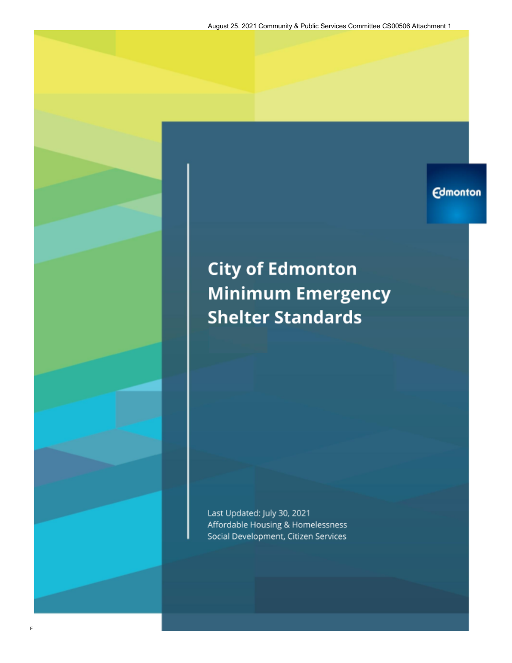August 25, 2021 Community & Public Services Committee CS00506 Attachment 1

**Edmonton** 

# **City of Edmonton Minimum Emergency Shelter Standards**

Last Updated: July 30, 2021 Affordable Housing & Homelessness Social Development, Citizen Services

F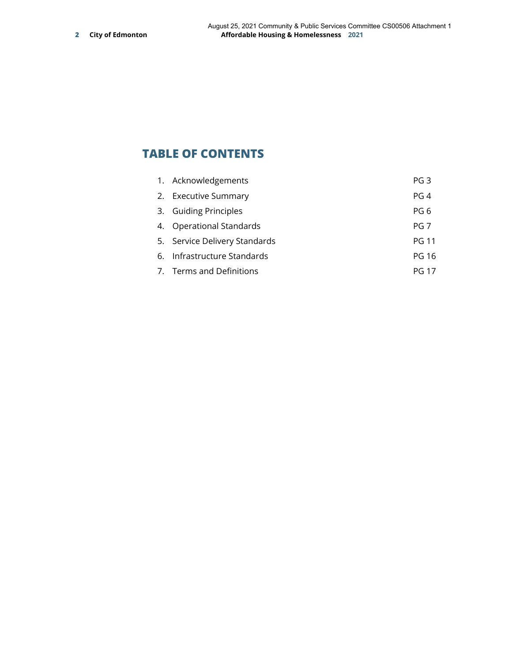# **TABLE OF CONTENTS**

| 1. Acknowledgements           | PG <sub>3</sub> |
|-------------------------------|-----------------|
| 2. Executive Summary          | PG <sub>4</sub> |
| 3. Guiding Principles         | PG <sub>6</sub> |
| 4. Operational Standards      | PG <sub>7</sub> |
| 5. Service Delivery Standards | <b>PG 11</b>    |
| 6. Infrastructure Standards   | <b>PG 16</b>    |
| 7. Terms and Definitions      | PG 17           |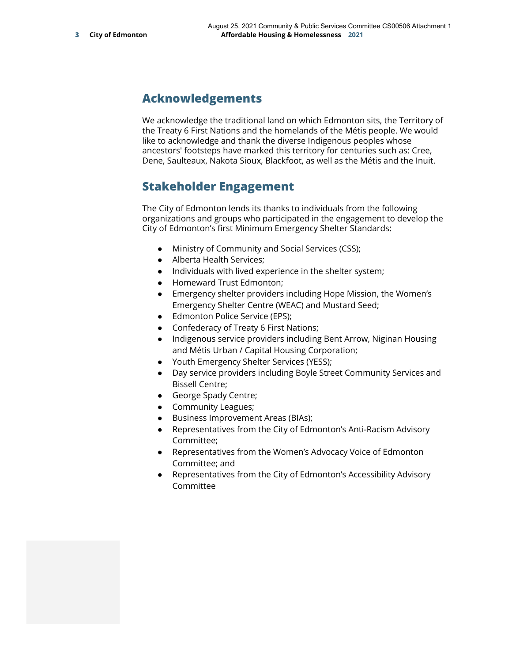# **Acknowledgements**

We acknowledge the traditional land on which Edmonton sits, the Territory of the Treaty 6 First Nations and the homelands of the Métis people. We would like to acknowledge and thank the diverse Indigenous peoples whose ancestors' footsteps have marked this territory for centuries such as: Cree, Dene, Saulteaux, Nakota Sioux, Blackfoot, as well as the Métis and the Inuit.

# **Stakeholder Engagement**

The City of Edmonton lends its thanks to individuals from the following organizations and groups who participated in the engagement to develop the City of Edmonton's first Minimum Emergency Shelter Standards:

- Ministry of Community and Social Services (CSS);
- Alberta Health Services;
- Individuals with lived experience in the shelter system;
- Homeward Trust Edmonton;
- Emergency shelter providers including Hope Mission, the Women's Emergency Shelter Centre (WEAC) and Mustard Seed;
- Edmonton Police Service (EPS);
- Confederacy of Treaty 6 First Nations;
- Indigenous service providers including Bent Arrow, Niginan Housing and Métis Urban / Capital Housing Corporation;
- Youth Emergency Shelter Services (YESS);
- Day service providers including Boyle Street Community Services and Bissell Centre;
- George Spady Centre;
- Community Leagues;
- Business Improvement Areas (BIAs);
- Representatives from the City of Edmonton's Anti-Racism Advisory Committee;
- Representatives from the Women's Advocacy Voice of Edmonton Committee; and
- Representatives from the City of Edmonton's Accessibility Advisory Committee

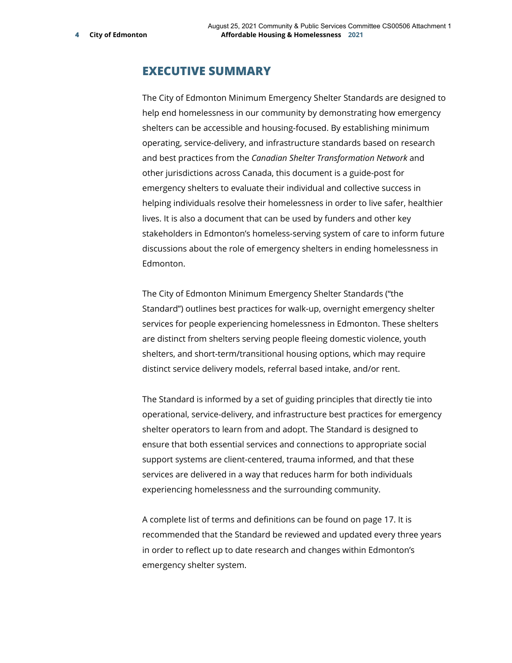### **EXECUTIVE SUMMARY**

The City of Edmonton Minimum Emergency Shelter Standards are designed to help end homelessness in our community by demonstrating how emergency shelters can be accessible and housing-focused. By establishing minimum operating, service-delivery, and infrastructure standards based on research and best practices from the *Canadian Shelter Transformation Network* and other jurisdictions across Canada, this document is a guide-post for emergency shelters to evaluate their individual and collective success in helping individuals resolve their homelessness in order to live safer, healthier lives. It is also a document that can be used by funders and other key stakeholders in Edmonton's homeless-serving system of care to inform future discussions about the role of emergency shelters in ending homelessness in Edmonton.

The City of Edmonton Minimum Emergency Shelter Standards ("the Standard") outlines best practices for walk-up, overnight emergency shelter services for people experiencing homelessness in Edmonton. These shelters are distinct from shelters serving people fleeing domestic violence, youth shelters, and short-term/transitional housing options, which may require distinct service delivery models, referral based intake, and/or rent.

The Standard is informed by a set of guiding principles that directly tie into operational, service-delivery, and infrastructure best practices for emergency shelter operators to learn from and adopt. The Standard is designed to ensure that both essential services and connections to appropriate social support systems are client-centered, trauma informed, and that these services are delivered in a way that reduces harm for both individuals experiencing homelessness and the surrounding community.

A complete list of terms and definitions can be found on page 17. It is recommended that the Standard be reviewed and updated every three years in order to reflect up to date research and changes within Edmonton's emergency shelter system.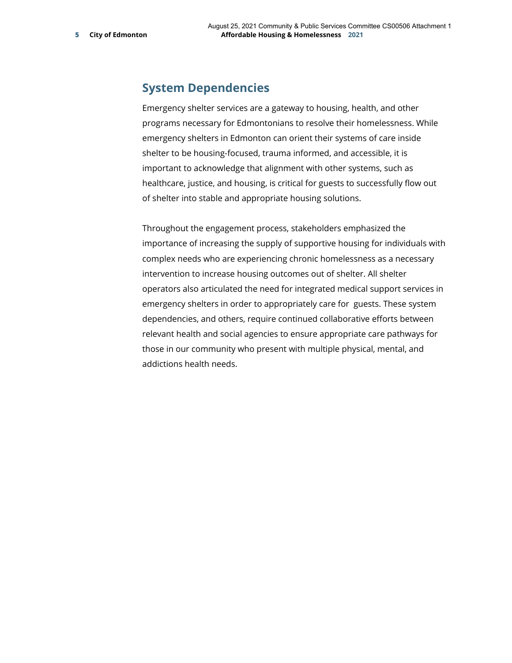### **System Dependencies**

Emergency shelter services are a gateway to housing, health, and other programs necessary for Edmontonians to resolve their homelessness. While emergency shelters in Edmonton can orient their systems of care inside shelter to be housing-focused, trauma informed, and accessible, it is important to acknowledge that alignment with other systems, such as healthcare, justice, and housing, is critical for guests to successfully flow out of shelter into stable and appropriate housing solutions.

Throughout the engagement process, stakeholders emphasized the importance of increasing the supply of supportive housing for individuals with complex needs who are experiencing chronic homelessness as a necessary intervention to increase housing outcomes out of shelter. All shelter operators also articulated the need for integrated medical support services in emergency shelters in order to appropriately care for guests. These system dependencies, and others, require continued collaborative efforts between relevant health and social agencies to ensure appropriate care pathways for those in our community who present with multiple physical, mental, and addictions health needs.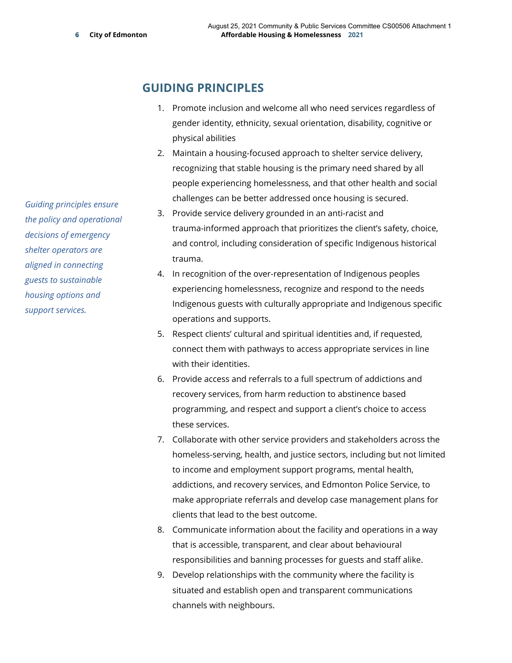### **GUIDING PRINCIPLES**

- 1. Promote inclusion and welcome all who need services regardless of gender identity, ethnicity, sexual orientation, disability, cognitive or physical abilities
- 2. Maintain a housing-focused approach to shelter service delivery, recognizing that stable housing is the primary need shared by all people experiencing homelessness, and that other health and social challenges can be better addressed once housing is secured.
- 3. Provide service delivery grounded in an anti-racist and trauma-informed approach that prioritizes the client's safety, choice, and control, including consideration of specific Indigenous historical trauma.
- 4. In recognition of the over-representation of Indigenous peoples experiencing homelessness, recognize and respond to the needs Indigenous guests with culturally appropriate and Indigenous specific operations and supports.
- 5. Respect clients' cultural and spiritual identities and, if requested, connect them with pathways to access appropriate services in line with their identities.
- 6. Provide access and referrals to a full spectrum of addictions and recovery services, from harm reduction to abstinence based programming, and respect and support a client's choice to access these services.
- 7. Collaborate with other service providers and stakeholders across the homeless-serving, health, and justice sectors, including but not limited to income and employment support programs, mental health, addictions, and recovery services, and Edmonton Police Service, to make appropriate referrals and develop case management plans for clients that lead to the best outcome.
- 8. Communicate information about the facility and operations in a way that is accessible, transparent, and clear about behavioural responsibilities and banning processes for guests and staff alike.
- 9. Develop relationships with the community where the facility is situated and establish open and transparent communications channels with neighbours.

*Guiding principles ensure the policy and operational decisions of emergency shelter operators are aligned in connecting guests to sustainable housing options and support services.*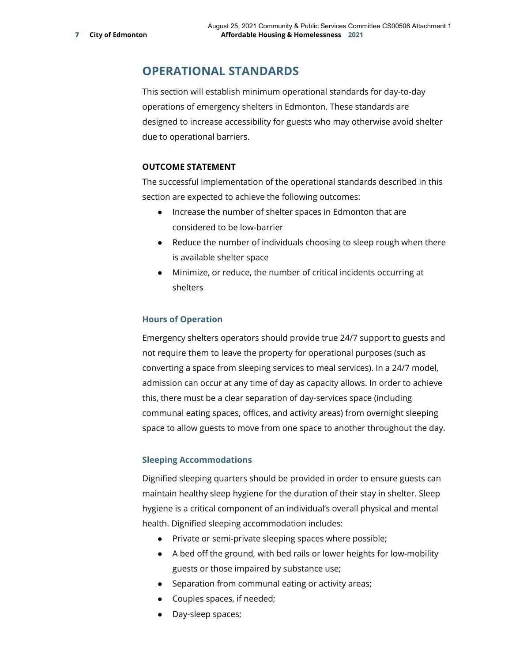# **OPERATIONAL STANDARDS**

This section will establish minimum operational standards for day-to-day operations of emergency shelters in Edmonton. These standards are designed to increase accessibility for guests who may otherwise avoid shelter due to operational barriers.

### **OUTCOME STATEMENT**

The successful implementation of the operational standards described in this section are expected to achieve the following outcomes:

- Increase the number of shelter spaces in Edmonton that are considered to be low-barrier
- Reduce the number of individuals choosing to sleep rough when there is available shelter space
- Minimize, or reduce, the number of critical incidents occurring at shelters

### **Hours of Operation**

Emergency shelters operators should provide true 24/7 support to guests and not require them to leave the property for operational purposes (such as converting a space from sleeping services to meal services). In a 24/7 model, admission can occur at any time of day as capacity allows. In order to achieve this, there must be a clear separation of day-services space (including communal eating spaces, offices, and activity areas) from overnight sleeping space to allow guests to move from one space to another throughout the day.

### **Sleeping Accommodations**

Dignified sleeping quarters should be provided in order to ensure guests can maintain healthy sleep hygiene for the duration of their stay in shelter. Sleep hygiene is a critical component of an individual's overall physical and mental health. Dignified sleeping accommodation includes:

- Private or semi-private sleeping spaces where possible;
- A bed off the ground, with bed rails or lower heights for low-mobility guests or those impaired by substance use;
- Separation from communal eating or activity areas;
- Couples spaces, if needed;
- Day-sleep spaces;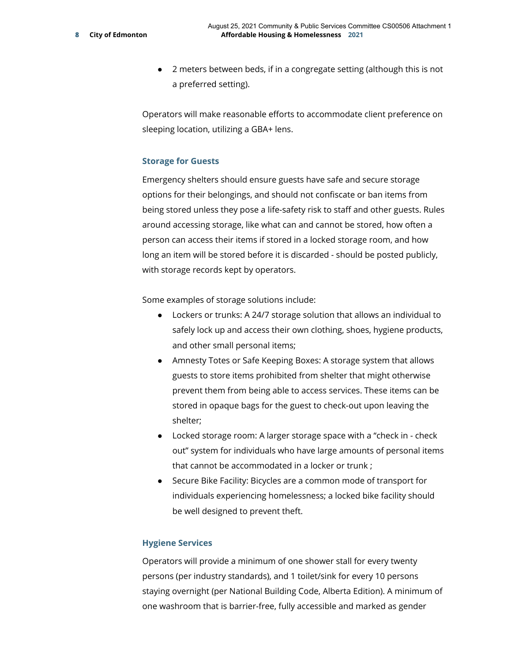● 2 meters between beds, if in a congregate setting (although this is not a preferred setting).

Operators will make reasonable efforts to accommodate client preference on sleeping location, utilizing a GBA+ lens.

### **Storage for Guests**

Emergency shelters should ensure guests have safe and secure storage options for their belongings, and should not confiscate or ban items from being stored unless they pose a life-safety risk to staff and other guests. Rules around accessing storage, like what can and cannot be stored, how often a person can access their items if stored in a locked storage room, and how long an item will be stored before it is discarded - should be posted publicly, with storage records kept by operators.

Some examples of storage solutions include:

- Lockers or trunks: A 24/7 storage solution that allows an individual to safely lock up and access their own clothing, shoes, hygiene products, and other small personal items;
- Amnesty Totes or Safe Keeping Boxes: A storage system that allows guests to store items prohibited from shelter that might otherwise prevent them from being able to access services. These items can be stored in opaque bags for the guest to check-out upon leaving the shelter;
- Locked storage room: A larger storage space with a "check in check out" system for individuals who have large amounts of personal items that cannot be accommodated in a locker or trunk ;
- Secure Bike Facility: Bicycles are a common mode of transport for individuals experiencing homelessness; a locked bike facility should be well designed to prevent theft.

#### **Hygiene Services**

Operators will provide a minimum of one shower stall for every twenty persons (per industry standards), and 1 toilet/sink for every 10 persons staying overnight (per National Building Code, Alberta Edition). A minimum of one washroom that is barrier-free, fully accessible and marked as gender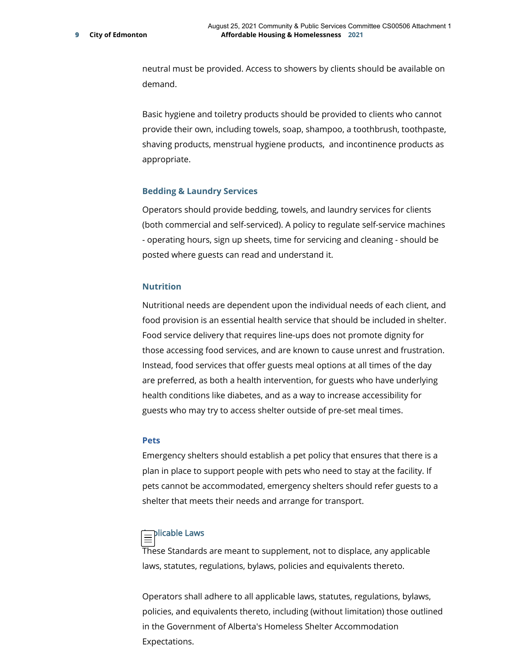neutral must be provided. Access to showers by clients should be available on demand.

Basic hygiene and toiletry products should be provided to clients who cannot provide their own, including towels, soap, shampoo, a toothbrush, toothpaste, shaving products, menstrual hygiene products, and incontinence products as appropriate.

#### **Bedding & Laundry Services**

Operators should provide bedding, towels, and laundry services for clients (both commercial and self-serviced). A policy to regulate self-service machines - operating hours, sign up sheets, time for servicing and cleaning - should be posted where guests can read and understand it.

#### **Nutrition**

Nutritional needs are dependent upon the individual needs of each client, and food provision is an essential health service that should be included in shelter. Food service delivery that requires line-ups does not promote dignity for those accessing food services, and are known to cause unrest and frustration. Instead, food services that offer guests meal options at all times of the day are preferred, as both a health intervention, for guests who have underlying health conditions like diabetes, and as a way to increase accessibility for guests who may try to access shelter outside of pre-set meal times.

#### **Pets**

Emergency shelters should establish a pet policy that ensures that there is a plan in place to support people with pets who need to stay at the facility. If pets cannot be accommodated, emergency shelters should refer guests to a shelter that meets their needs and arrange for transport.

### $\equiv$ Plicable Laws

These Standards are meant to supplement, not to displace, any applicable laws, statutes, regulations, bylaws, policies and equivalents thereto.

Operators shall adhere to all applicable laws, statutes, regulations, bylaws, policies, and equivalents thereto, including (without limitation) those outlined in the Government of Alberta's Homeless Shelter Accommodation Expectations.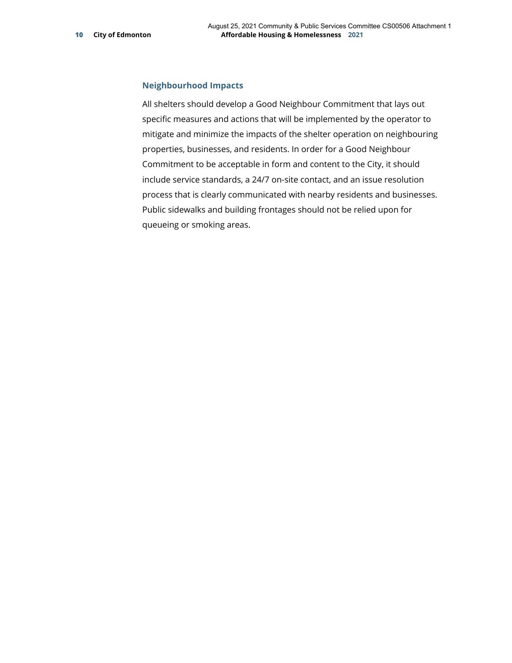### **Neighbourhood Impacts**

All shelters should develop a Good Neighbour Commitment that lays out specific measures and actions that will be implemented by the operator to mitigate and minimize the impacts of the shelter operation on neighbouring properties, businesses, and residents. In order for a Good Neighbour Commitment to be acceptable in form and content to the City, it should include service standards, a 24/7 on-site contact, and an issue resolution process that is clearly communicated with nearby residents and businesses. Public sidewalks and building frontages should not be relied upon for queueing or smoking areas.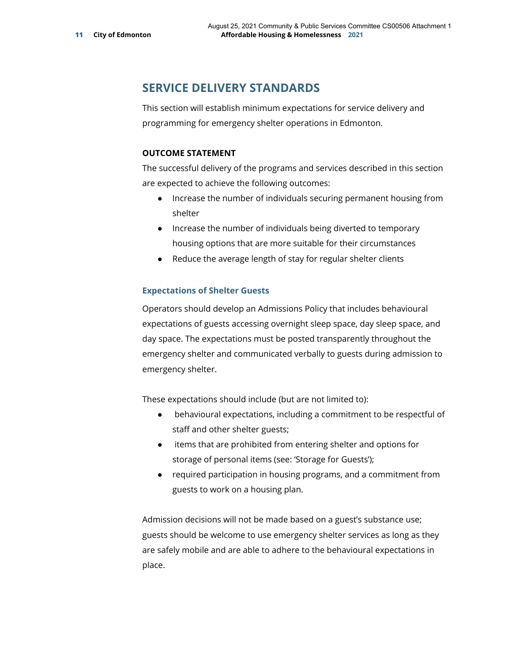# **SERVICE DELIVERY STANDARDS**

This section will establish minimum expectations for service delivery and programming for emergency shelter operations in Edmonton.

### **OUTCOME STATEMENT**

The successful delivery of the programs and services described in this section are expected to achieve the following outcomes:

- Increase the number of individuals securing permanent housing from shelter
- Increase the number of individuals being diverted to temporary housing options that are more suitable for their circumstances
- Reduce the average length of stay for regular shelter clients

### **Expectations of Shelter Guests**

Operators should develop an Admissions Policy that includes behavioural expectations of guests accessing overnight sleep space, day sleep space, and day space. The expectations must be posted transparently throughout the emergency shelter and communicated verbally to guests during admission to emergency shelter.

These expectations should include (but are not limited to):

- behavioural expectations, including a commitment to be respectful of staff and other shelter guests;
- items that are prohibited from entering shelter and options for storage of personal items (see: 'Storage for Guests');
- required participation in housing programs, and a commitment from guests to work on a housing plan.

Admission decisions will not be made based on a guest's substance use; guests should be welcome to use emergency shelter services as long as they are safely mobile and are able to adhere to the behavioural expectations in place.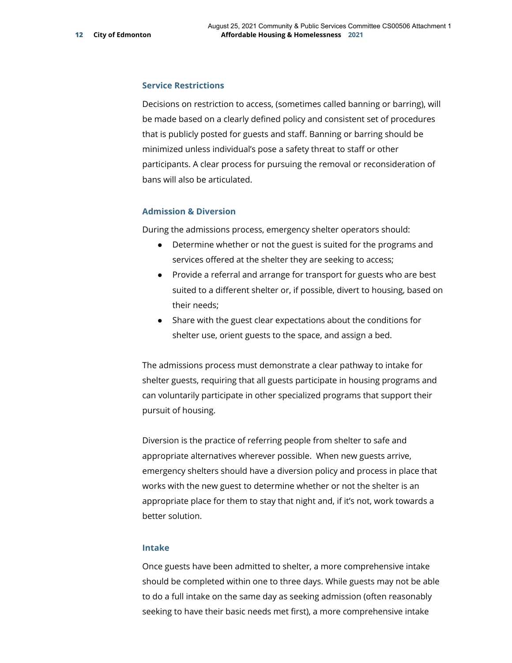#### **Service Restrictions**

Decisions on restriction to access, (sometimes called banning or barring), will be made based on a clearly defined policy and consistent set of procedures that is publicly posted for guests and staff. Banning or barring should be minimized unless individual's pose a safety threat to staff or other participants. A clear process for pursuing the removal or reconsideration of bans will also be articulated.

#### **Admission & Diversion**

During the admissions process, emergency shelter operators should:

- Determine whether or not the guest is suited for the programs and services offered at the shelter they are seeking to access;
- Provide a referral and arrange for transport for guests who are best suited to a different shelter or, if possible, divert to housing, based on their needs;
- Share with the guest clear expectations about the conditions for shelter use, orient guests to the space, and assign a bed.

The admissions process must demonstrate a clear pathway to intake for shelter guests, requiring that all guests participate in housing programs and can voluntarily participate in other specialized programs that support their pursuit of housing.

Diversion is the practice of referring people from shelter to safe and appropriate alternatives wherever possible. When new guests arrive, emergency shelters should have a diversion policy and process in place that works with the new guest to determine whether or not the shelter is an appropriate place for them to stay that night and, if it's not, work towards a better solution.

#### **Intake**

Once guests have been admitted to shelter, a more comprehensive intake should be completed within one to three days. While guests may not be able to do a full intake on the same day as seeking admission (often reasonably seeking to have their basic needs met first), a more comprehensive intake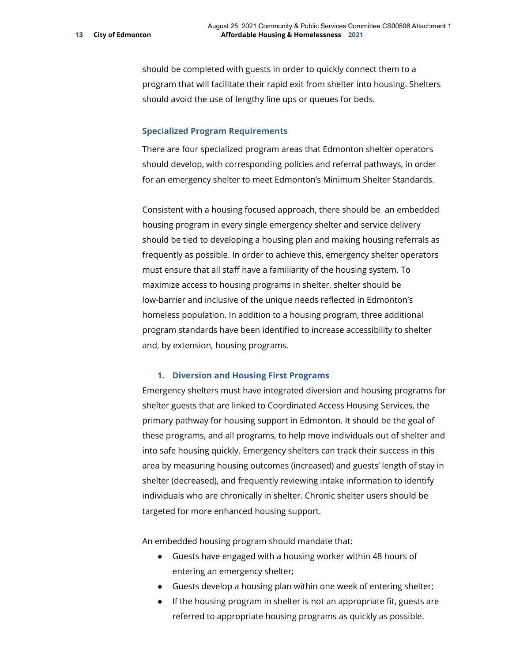should be completed with guests in order to quickly connect them to a program that will facilitate their rapid exit from shelter into housing. Shelters should avoid the use of lengthy line ups or queues for beds.

#### **Specialized Program Requirements**

There are four specialized program areas that Edmonton shelter operators should develop, with corresponding policies and referral pathways, in order for an emergency shelter to meet Edmonton's Minimum Shelter Standards.

Consistent with a housing focused approach, there should be an embedded housing program in every single emergency shelter and service delivery should be tied to developing a housing plan and making housing referrals as frequently as possible. In order to achieve this, emergency shelter operators must ensure that all staff have a familiarity of the housing system. To maximize access to housing programs in shelter, shelter should be low-barrier and inclusive of the unique needs reflected in Edmonton's homeless population. In addition to a housing program, three additional program standards have been identified to increase accessibility to shelter and, by extension, housing programs.

### **1. Diversion and Housing First Programs**

Emergency shelters must have integrated diversion and housing programs for shelter guests that are linked to Coordinated Access Housing Services, the primary pathway for housing support in Edmonton. It should be the goal of these programs, and all programs, to help move individuals out of shelter and into safe housing quickly. Emergency shelters can track their success in this area by measuring housing outcomes (increased) and guests' length of stay in shelter (decreased), and frequently reviewing intake information to identify individuals who are chronically in shelter. Chronic shelter users should be targeted for more enhanced housing support.

An embedded housing program should mandate that:

- Guests have engaged with a housing worker within 48 hours of entering an emergency shelter;
- Guests develop a housing plan within one week of entering shelter;
- If the housing program in shelter is not an appropriate fit, guests are referred to appropriate housing programs as quickly as possible.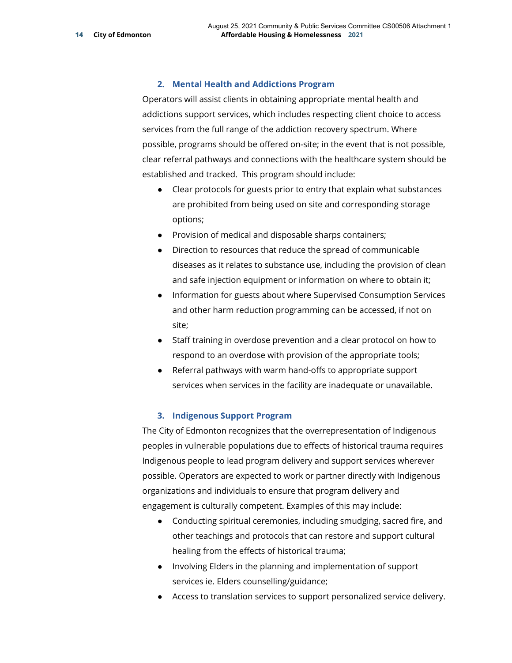### **2. Mental Health and Addictions Program**

Operators will assist clients in obtaining appropriate mental health and addictions support services, which includes respecting client choice to access services from the full range of the addiction recovery spectrum. Where possible, programs should be offered on-site; in the event that is not possible, clear referral pathways and connections with the healthcare system should be established and tracked. This program should include:

- Clear protocols for guests prior to entry that explain what substances are prohibited from being used on site and corresponding storage options;
- Provision of medical and disposable sharps containers;
- Direction to resources that reduce the spread of communicable diseases as it relates to substance use, including the provision of clean and safe injection equipment or information on where to obtain it;
- Information for guests about where Supervised Consumption Services and other harm reduction programming can be accessed, if not on site;
- Staff training in overdose prevention and a clear protocol on how to respond to an overdose with provision of the appropriate tools;
- Referral pathways with warm hand-offs to appropriate support services when services in the facility are inadequate or unavailable.

### **3. Indigenous Support Program**

The City of Edmonton recognizes that the overrepresentation of Indigenous peoples in vulnerable populations due to effects of historical trauma requires Indigenous people to lead program delivery and support services wherever possible. Operators are expected to work or partner directly with Indigenous organizations and individuals to ensure that program delivery and engagement is culturally competent. Examples of this may include:

- Conducting spiritual ceremonies, including smudging, sacred fire, and other teachings and protocols that can restore and support cultural healing from the effects of historical trauma;
- Involving Elders in the planning and implementation of support services ie. Elders counselling/guidance;
- Access to translation services to support personalized service delivery.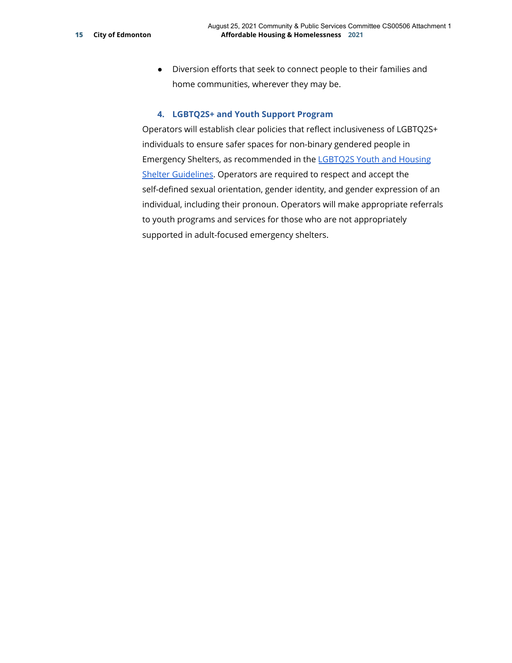● Diversion efforts that seek to connect people to their families and home communities, wherever they may be.

### **4. LGBTQ2S+ and Youth Support Program**

Operators will establish clear policies that reflect inclusiveness of LGBTQ2S+ individuals to ensure safer spaces for non-binary gendered people in Emergency Shelters, as recommended in the [LGBTQ2S Youth and Housing](https://open.alberta.ca/dataset/65abe1b1-a28a-4ed0-89ca-5334e9fc5cad/resource/e4df2c25-ab59-45e3-803f-0dfe2177b16a/download/LGBTQ2S-youth-housing-and-shelter-guidelines.pdf) [Shelter Guidelines](https://open.alberta.ca/dataset/65abe1b1-a28a-4ed0-89ca-5334e9fc5cad/resource/e4df2c25-ab59-45e3-803f-0dfe2177b16a/download/LGBTQ2S-youth-housing-and-shelter-guidelines.pdf). Operators are required to respect and accept the self-defined sexual orientation, gender identity, and gender expression of an individual, including their pronoun. Operators will make appropriate referrals to youth programs and services for those who are not appropriately supported in adult-focused emergency shelters.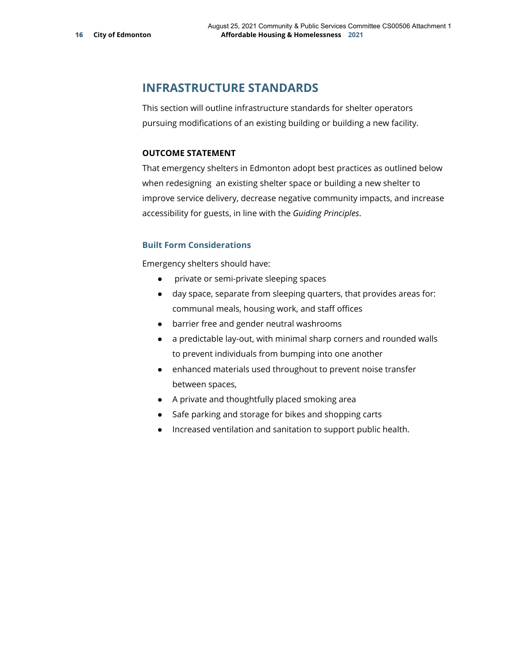# **INFRASTRUCTURE STANDARDS**

This section will outline infrastructure standards for shelter operators pursuing modifications of an existing building or building a new facility.

### **OUTCOME STATEMENT**

That emergency shelters in Edmonton adopt best practices as outlined below when redesigning an existing shelter space or building a new shelter to improve service delivery, decrease negative community impacts, and increase accessibility for guests, in line with the *Guiding Principles*.

### **Built Form Considerations**

Emergency shelters should have:

- private or semi-private sleeping spaces
- day space, separate from sleeping quarters, that provides areas for: communal meals, housing work, and staff offices
- barrier free and gender neutral washrooms
- a predictable lay-out, with minimal sharp corners and rounded walls to prevent individuals from bumping into one another
- enhanced materials used throughout to prevent noise transfer between spaces,
- A private and thoughtfully placed smoking area
- Safe parking and storage for bikes and shopping carts
- Increased ventilation and sanitation to support public health.